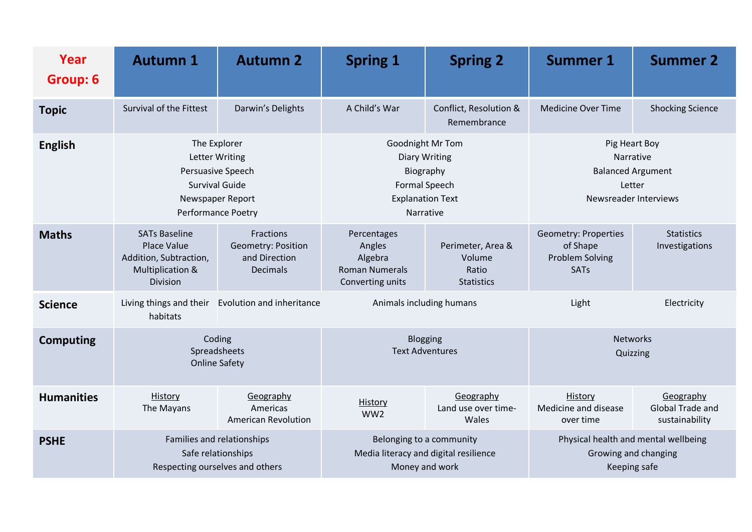| Year<br>Group: 6  | <b>Autumn 1</b>                                                                                                               | <b>Autumn 2</b>                                                     | <b>Spring 1</b>                                                                                                       | <b>Spring 2</b>                                           | <b>Summer 1</b>                                                                           | <b>Summer 2</b>                                 |
|-------------------|-------------------------------------------------------------------------------------------------------------------------------|---------------------------------------------------------------------|-----------------------------------------------------------------------------------------------------------------------|-----------------------------------------------------------|-------------------------------------------------------------------------------------------|-------------------------------------------------|
| <b>Topic</b>      | Survival of the Fittest                                                                                                       | Darwin's Delights                                                   | A Child's War                                                                                                         | Conflict, Resolution &<br>Remembrance                     | <b>Medicine Over Time</b>                                                                 | <b>Shocking Science</b>                         |
| <b>English</b>    | The Explorer<br><b>Letter Writing</b><br>Persuasive Speech<br><b>Survival Guide</b><br>Newspaper Report<br>Performance Poetry |                                                                     | <b>Goodnight Mr Tom</b><br><b>Diary Writing</b><br>Biography<br>Formal Speech<br><b>Explanation Text</b><br>Narrative |                                                           | Pig Heart Boy<br>Narrative<br><b>Balanced Argument</b><br>Letter<br>Newsreader Interviews |                                                 |
| <b>Maths</b>      | <b>SATs Baseline</b><br>Place Value<br>Addition, Subtraction,<br>Multiplication &<br>Division                                 | Fractions<br>Geometry: Position<br>and Direction<br><b>Decimals</b> | Percentages<br>Angles<br>Algebra<br><b>Roman Numerals</b><br>Converting units                                         | Perimeter, Area &<br>Volume<br>Ratio<br><b>Statistics</b> | <b>Geometry: Properties</b><br>of Shape<br><b>Problem Solving</b><br><b>SATs</b>          | <b>Statistics</b><br>Investigations             |
| <b>Science</b>    | Living things and their<br>habitats                                                                                           | Evolution and inheritance                                           | Animals including humans                                                                                              |                                                           | Light                                                                                     | Electricity                                     |
| <b>Computing</b>  | Coding<br>Spreadsheets<br><b>Online Safety</b>                                                                                |                                                                     | Blogging<br><b>Text Adventures</b>                                                                                    |                                                           | <b>Networks</b><br>Quizzing                                                               |                                                 |
| <b>Humanities</b> | History<br>The Mayans                                                                                                         | Geography<br>Americas<br><b>American Revolution</b>                 | History<br>WW <sub>2</sub>                                                                                            | Geography<br>Land use over time-<br>Wales                 | History<br>Medicine and disease<br>over time                                              | Geography<br>Global Trade and<br>sustainability |
| <b>PSHE</b>       | Families and relationships<br>Safe relationships<br>Respecting ourselves and others                                           |                                                                     | Belonging to a community<br>Media literacy and digital resilience<br>Money and work                                   |                                                           | Physical health and mental wellbeing<br>Growing and changing<br>Keeping safe              |                                                 |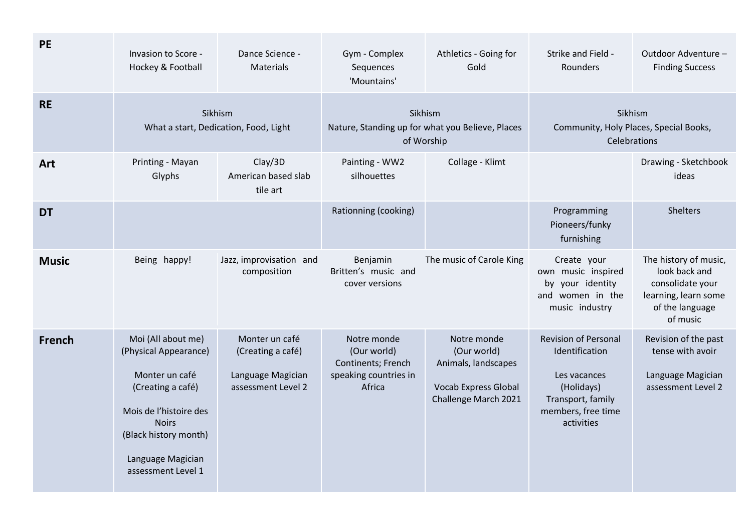| <b>PE</b>     | Invasion to Score -<br>Hockey & Football                                                                                                                                                         | Dance Science -<br><b>Materials</b>                                            | Gym - Complex<br>Sequences<br>'Mountains'                                           | Athletics - Going for<br>Gold                                                                            | Strike and Field -<br>Rounders                                                                                                       | Outdoor Adventure -<br><b>Finding Success</b>                                                                     |
|---------------|--------------------------------------------------------------------------------------------------------------------------------------------------------------------------------------------------|--------------------------------------------------------------------------------|-------------------------------------------------------------------------------------|----------------------------------------------------------------------------------------------------------|--------------------------------------------------------------------------------------------------------------------------------------|-------------------------------------------------------------------------------------------------------------------|
| <b>RE</b>     | Sikhism<br>What a start, Dedication, Food, Light                                                                                                                                                 |                                                                                | Sikhism<br>Nature, Standing up for what you Believe, Places<br>of Worship           |                                                                                                          | Sikhism<br>Community, Holy Places, Special Books,<br>Celebrations                                                                    |                                                                                                                   |
| Art           | Printing - Mayan<br>Glyphs                                                                                                                                                                       | Clay/3D<br>American based slab<br>tile art                                     | Painting - WW2<br>silhouettes                                                       | Collage - Klimt                                                                                          |                                                                                                                                      | Drawing - Sketchbook<br>ideas                                                                                     |
| <b>DT</b>     |                                                                                                                                                                                                  |                                                                                | Rationning (cooking)                                                                |                                                                                                          | Programming<br>Pioneers/funky<br>furnishing                                                                                          | <b>Shelters</b>                                                                                                   |
| <b>Music</b>  | Being happy!                                                                                                                                                                                     | Jazz, improvisation and<br>composition                                         | Benjamin<br>Britten's music and<br>cover versions                                   | The music of Carole King                                                                                 | Create your<br>own music inspired<br>by your identity<br>and women in the<br>music industry                                          | The history of music,<br>look back and<br>consolidate your<br>learning, learn some<br>of the language<br>of music |
| <b>French</b> | Moi (All about me)<br>(Physical Appearance)<br>Monter un café<br>(Creating a café)<br>Mois de l'histoire des<br><b>Noirs</b><br>(Black history month)<br>Language Magician<br>assessment Level 1 | Monter un café<br>(Creating a café)<br>Language Magician<br>assessment Level 2 | Notre monde<br>(Our world)<br>Continents; French<br>speaking countries in<br>Africa | Notre monde<br>(Our world)<br>Animals, landscapes<br><b>Vocab Express Global</b><br>Challenge March 2021 | <b>Revision of Personal</b><br>Identification<br>Les vacances<br>(Holidays)<br>Transport, family<br>members, free time<br>activities | Revision of the past<br>tense with avoir<br>Language Magician<br>assessment Level 2                               |